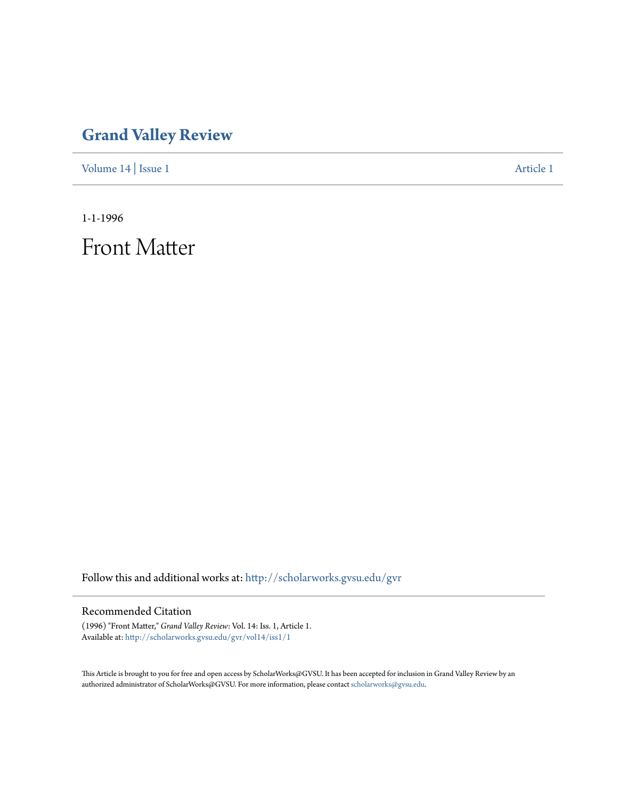## **[Grand Valley Review](http://scholarworks.gvsu.edu/gvr?utm_source=scholarworks.gvsu.edu%2Fgvr%2Fvol14%2Fiss1%2F1&utm_medium=PDF&utm_campaign=PDFCoverPages)**

[Volume 14](http://scholarworks.gvsu.edu/gvr/vol14?utm_source=scholarworks.gvsu.edu%2Fgvr%2Fvol14%2Fiss1%2F1&utm_medium=PDF&utm_campaign=PDFCoverPages) | [Issue 1](http://scholarworks.gvsu.edu/gvr/vol14/iss1?utm_source=scholarworks.gvsu.edu%2Fgvr%2Fvol14%2Fiss1%2F1&utm_medium=PDF&utm_campaign=PDFCoverPages) [Article 1](http://scholarworks.gvsu.edu/gvr/vol14/iss1/1?utm_source=scholarworks.gvsu.edu%2Fgvr%2Fvol14%2Fiss1%2F1&utm_medium=PDF&utm_campaign=PDFCoverPages)

1-1-1996

Front Matter

Follow this and additional works at: [http://scholarworks.gvsu.edu/gvr](http://scholarworks.gvsu.edu/gvr?utm_source=scholarworks.gvsu.edu%2Fgvr%2Fvol14%2Fiss1%2F1&utm_medium=PDF&utm_campaign=PDFCoverPages)

## Recommended Citation

(1996) "Front Matter," *Grand Valley Review*: Vol. 14: Iss. 1, Article 1. Available at: [http://scholarworks.gvsu.edu/gvr/vol14/iss1/1](http://scholarworks.gvsu.edu/gvr/vol14/iss1/1?utm_source=scholarworks.gvsu.edu%2Fgvr%2Fvol14%2Fiss1%2F1&utm_medium=PDF&utm_campaign=PDFCoverPages)

This Article is brought to you for free and open access by ScholarWorks@GVSU. It has been accepted for inclusion in Grand Valley Review by an authorized administrator of ScholarWorks@GVSU. For more information, please contact [scholarworks@gvsu.edu.](mailto:scholarworks@gvsu.edu)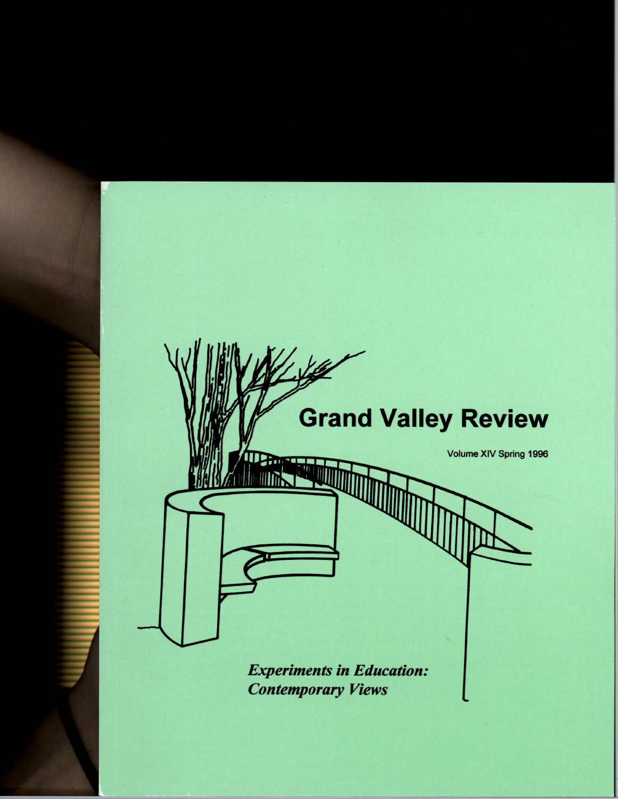

**Experiments in Education: Contemporary Views**